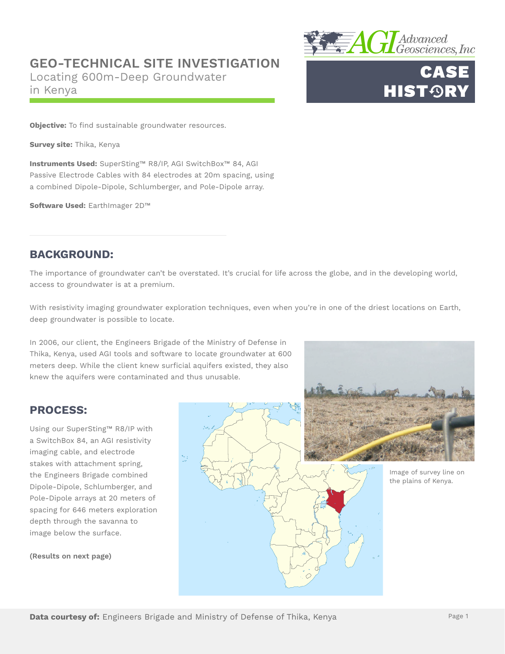## **GEO-TECHNICAL SITE INVESTIGATION**

Locating 600m-Deep Groundwater in Kenya



# CASE **HIST<sup>ORY</sup>**

**Objective:** To find sustainable groundwater resources.

**Survey site:** Thika, Kenya

**Instruments Used:** SuperSting™ R8/IP, AGI SwitchBox™ 84, AGI Passive Electrode Cables with 84 electrodes at 20m spacing, using a combined Dipole-Dipole, Schlumberger, and Pole-Dipole array.

**Software Used:** EarthImager 2D™

### **BACKGROUND:**

The importance of groundwater can't be overstated. It's crucial for life across the globe, and in the developing world, access to groundwater is at a premium.

With resistivity imaging groundwater exploration techniques, even when you're in one of the driest locations on Earth, deep groundwater is possible to locate.

In 2006, our client, the Engineers Brigade of the Ministry of Defense in Thika, Kenya, used AGI tools and software to locate groundwater at 600 meters deep. While the client knew surficial aquifers existed, they also knew the aquifers were contaminated and thus unusable.

## **PROCESS:**

Using our SuperSting™ R8/IP with a SwitchBox 84, an AGI resistivity imaging cable, and electrode stakes with attachment spring, the Engineers Brigade combined Dipole-Dipole, Schlumberger, and Pole-Dipole arrays at 20 meters of spacing for 646 meters exploration depth through the savanna to image below the surface.

**(Results on next page)**



Image of survey line on the plains of Kenya.